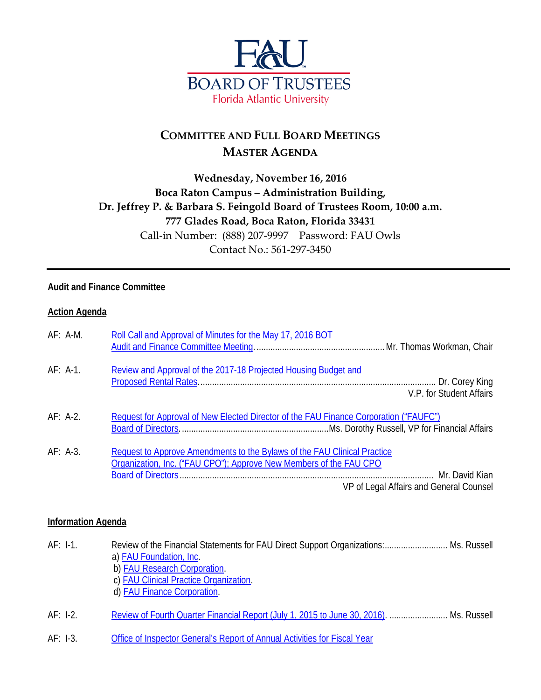

## **COMMITTEE AND FULL BOARD MEETINGS MASTER AGENDA**

## **Wednesday, November 16, 2016 Boca Raton Campus – Administration Building, Dr. Jeffrey P. & Barbara S. Feingold Board of Trustees Room, 10:00 a.m. 777 Glades Road, Boca Raton, Florida 33431** Call-in Number: (888) 207-9997 Password: FAU Owls Contact No.: 561-297-3450

## **Audit and Finance Committee**

#### **Action Agenda**

| AF: A-M.   | Roll Call and Approval of Minutes for the May 17, 2016 BOT                                                                                                                                |
|------------|-------------------------------------------------------------------------------------------------------------------------------------------------------------------------------------------|
| $AF: A-1.$ | Review and Approval of the 2017-18 Projected Housing Budget and<br>V.P. for Student Affairs                                                                                               |
| $AF: A-2.$ | Request for Approval of New Elected Director of the FAU Finance Corporation ("FAUFC")                                                                                                     |
| $AF: A-3.$ | Request to Approve Amendments to the Bylaws of the FAU Clinical Practice<br>Organization, Inc. ("FAU CPO"); Approve New Members of the FAU CPO<br>VP of Legal Affairs and General Counsel |

#### **Information Agenda**

| $AF: I-1.$ | Review of the Financial Statements for FAU Direct Support Organizations: Ms. Russell<br>a) <b>FAU Foundation</b> , Inc.<br>b) FAU Research Corporation.<br>c) FAU Clinical Practice Organization.<br>d) FAU Finance Corporation. |  |
|------------|----------------------------------------------------------------------------------------------------------------------------------------------------------------------------------------------------------------------------------|--|
| $AF: I-2.$ | Review of Fourth Quarter Financial Report (July 1, 2015 to June 30, 2016).  Ms. Russell                                                                                                                                          |  |

AF: I-3. [Office of Inspector General's Report of Annual Activities for](http://www.fau.edu/bot/meetings/11162016/af/AFI3.pdf) Fiscal Year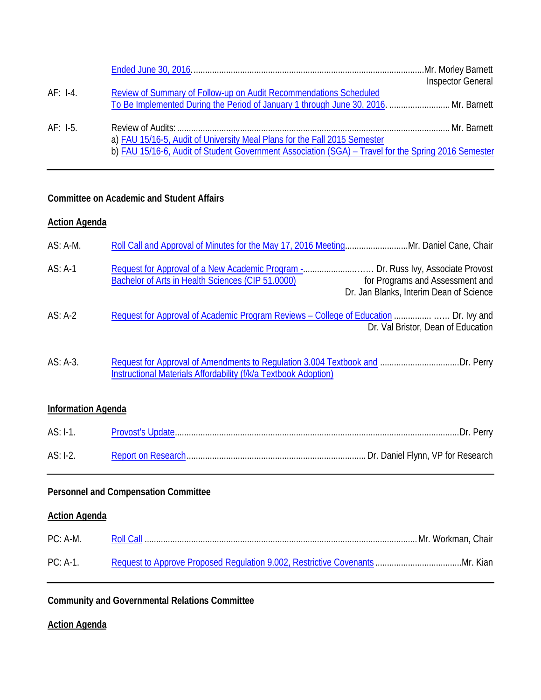|            |                                                                                                     | <b>Inspector General</b> |
|------------|-----------------------------------------------------------------------------------------------------|--------------------------|
| $AF: I-4.$ | Review of Summary of Follow-up on Audit Recommendations Scheduled                                   |                          |
|            | To Be Implemented During the Period of January 1 through June 30, 2016.  Mr. Barnett                |                          |
| $AF: I-5.$ |                                                                                                     |                          |
|            | a) FAU 15/16-5, Audit of University Meal Plans for the Fall 2015 Semester                           |                          |
|            | b) FAU 15/16-6, Audit of Student Government Association (SGA) - Travel for the Spring 2016 Semester |                          |

## **Committee on Academic and Student Affairs**

## **Action Agenda**

| $AS: A-M.$                                  |                                                                                                                                                                                                                     |  |  |  |
|---------------------------------------------|---------------------------------------------------------------------------------------------------------------------------------------------------------------------------------------------------------------------|--|--|--|
| $AS: A-1$                                   | Request for Approval of a New Academic Program - Dr. Russ Ivy, Associate Provost<br>Bachelor of Arts in Health Sciences (CIP 51.0000)<br>for Programs and Assessment and<br>Dr. Jan Blanks, Interim Dean of Science |  |  |  |
| $AS: A-2$                                   | Request for Approval of Academic Program Reviews - College of Education  Dr. Ivy and<br>Dr. Val Bristor, Dean of Education                                                                                          |  |  |  |
| AS: A-3.                                    | <b>Instructional Materials Affordability (f/k/a Textbook Adoption)</b>                                                                                                                                              |  |  |  |
|                                             | <b>Information Agenda</b>                                                                                                                                                                                           |  |  |  |
| $AS: I-1.$                                  |                                                                                                                                                                                                                     |  |  |  |
| $AS: I-2.$                                  |                                                                                                                                                                                                                     |  |  |  |
| <b>Personnel and Compensation Committee</b> |                                                                                                                                                                                                                     |  |  |  |
| <b>Action Agenda</b>                        |                                                                                                                                                                                                                     |  |  |  |
| $PC: A-M.$                                  |                                                                                                                                                                                                                     |  |  |  |
| $PC: A-1.$                                  |                                                                                                                                                                                                                     |  |  |  |

**Community and Governmental Relations Committee**

## **Action Agenda**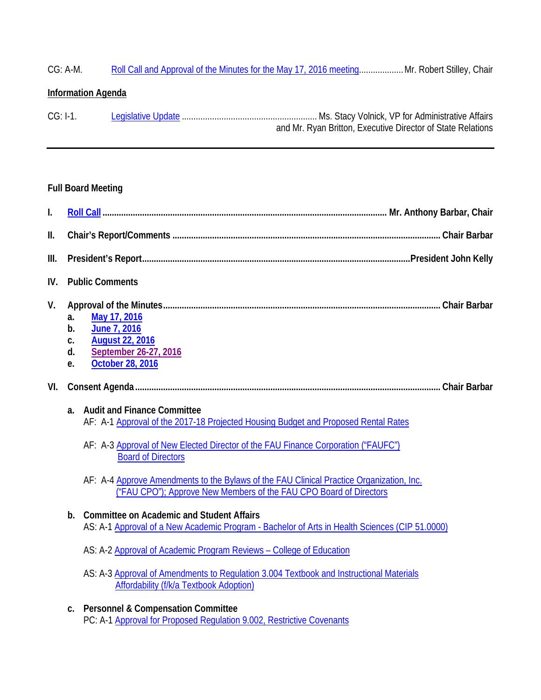# CG: A-M. [Roll Call and Approval of the Minutes for the May 17, 2016 meeting.](http://www.fau.edu/bot/meetings/11162016/cg/CGAM.pdf).................. Mr. Robert Stilley, Chair

## **Information Agenda**

| $CG: I-1.$ |                                                             |
|------------|-------------------------------------------------------------|
|            | and Mr. Ryan Britton, Executive Director of State Relations |

## **Full Board Meeting**

| $\mathsf{I}$ . |                                                                                                                                                                                                                                                  |  |
|----------------|--------------------------------------------------------------------------------------------------------------------------------------------------------------------------------------------------------------------------------------------------|--|
| Ш.             |                                                                                                                                                                                                                                                  |  |
| Ш.             |                                                                                                                                                                                                                                                  |  |
| IV.            | <b>Public Comments</b>                                                                                                                                                                                                                           |  |
| V.             | May 17, 2016<br>a.<br>June 7, 2016<br>b.<br><b>August 22, 2016</b><br>C.<br>September 26-27, 2016<br>d.<br><b>October 28, 2016</b><br>e.                                                                                                         |  |
| VI.            |                                                                                                                                                                                                                                                  |  |
|                | <b>Audit and Finance Committee</b><br>a.<br>AF: A-1 Approval of the 2017-18 Projected Housing Budget and Proposed Rental Rates<br>AF: A-3 Approval of New Elected Director of the FAU Finance Corporation ("FAUFC")<br><b>Board of Directors</b> |  |
|                | AF: A-4 Approve Amendments to the Bylaws of the FAU Clinical Practice Organization, Inc.<br>("FAU CPO"); Approve New Members of the FAU CPO Board of Directors                                                                                   |  |
|                | <b>Committee on Academic and Student Affairs</b><br>b.<br>AS: A-1 Approval of a New Academic Program - Bachelor of Arts in Health Sciences (CIP 51.0000)                                                                                         |  |
|                | AS: A-2 Approval of Academic Program Reviews - College of Education                                                                                                                                                                              |  |
|                | AS: A-3 Approval of Amendments to Regulation 3.004 Textbook and Instructional Materials<br>Affordability (f/k/a Textbook Adoption)                                                                                                               |  |
|                | <b>Personnel &amp; Compensation Committee</b><br>C.<br>PC: A-1 Approval for Proposed Regulation 9.002, Restrictive Covenants                                                                                                                     |  |